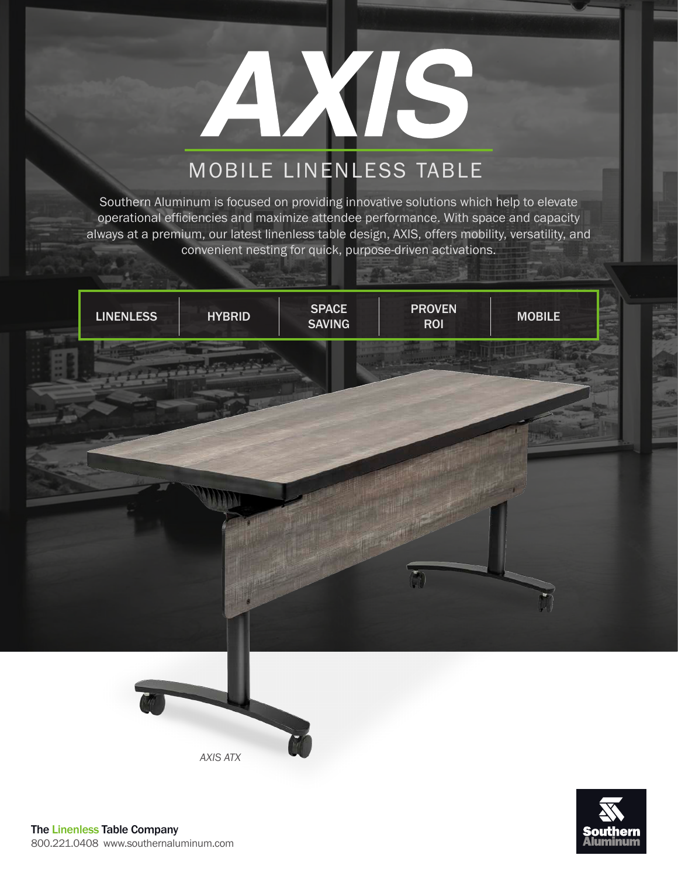# YIS

## MOBILE LINENLESS TABLE

Southern Aluminum is focused on providing innovative solutions which help to elevate operational efficiencies and maximize attendee performance. With space and capacity always at a premium, our latest linenless table design, AXIS, offers mobility, versatility, and convenient nesting for quick, purpose-driven activations.





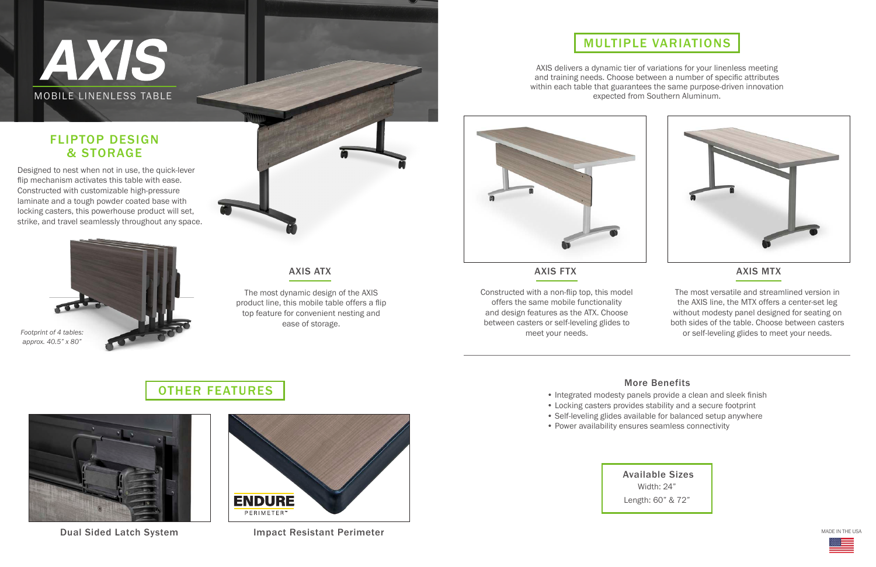## AXIS MOBILE LINENLESS TABLE

#### FLIPTOP DESIGN & STORAGE

## OTHER FEATURES



### MULTIPLE VARIATIONS

Dual Sided Latch System



AXIS delivers a dynamic tier of variations for your linenless meeting and training needs. Choose between a number of specific attributes within each table that guarantees the same purpose-driven innovation<br>expected from Southern Aluminum.



Available Sizes Width: 24" Length: 60" & 72"

Impact Resistant Perimeter

#### AXIS MTX

MADE IN THE USA



#### More Benefits

• Integrated modesty panels provide a clean and sleek finish • Locking casters provides stability and a secure footprint • Self-leveling glides available for balanced setup anywhere

- 
- 
- 
- Power availability ensures seamless connectivity

Designed to nest when not in use, the quick-lever flip mechanism activates this table with ease. Constructed with customizable high-pressure laminate and a tough powder coated base with locking casters, this powerhouse product will set, strike, and travel seamlessly throughout any space.



The most versatile and streamlined version in the AXIS line, the MTX offers a center-set leg without modesty panel designed for seating on both sides of the table. Choose between casters or self-leveling glides to meet your needs.

Constructed with a non-flip top, this model offers the same mobile functionality and design features as the ATX. Choose between casters or self-leveling glides to meet your needs.

The most dynamic design of the AXIS product line, this mobile table offers a flip top feature for convenient nesting and ease of storage.



*Footprint of 4 tables: approx. 40.5" x 80"*

#### AXIS ATX AXIS FTX